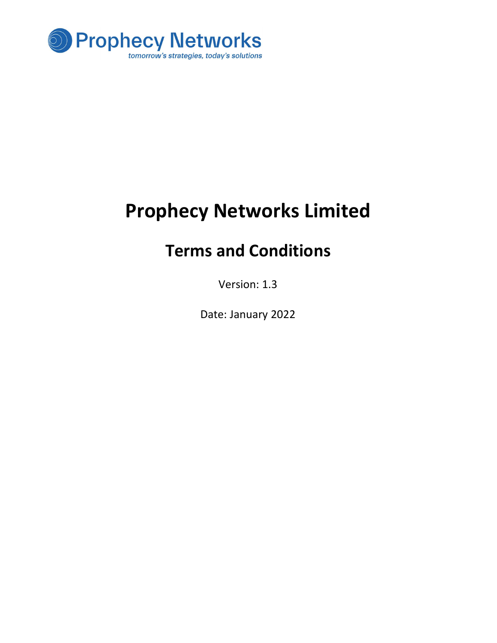

# Prophecy Networks Limited

# Terms and Conditions

Version: 1.3

Date: January 2022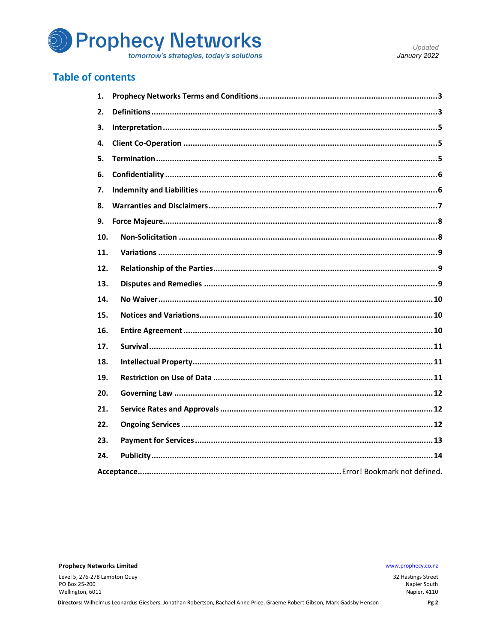

#### **Table of contents**

| 1.  |  |  |
|-----|--|--|
| 2.  |  |  |
| 3.  |  |  |
| 4.  |  |  |
| 5.  |  |  |
| 6.  |  |  |
| 7.  |  |  |
| 8.  |  |  |
| 9.  |  |  |
| 10. |  |  |
| 11. |  |  |
| 12. |  |  |
| 13. |  |  |
| 14. |  |  |
| 15. |  |  |
| 16. |  |  |
| 17. |  |  |
| 18. |  |  |
| 19. |  |  |
| 20. |  |  |
| 21. |  |  |
| 22. |  |  |
| 23. |  |  |
| 24. |  |  |
|     |  |  |

**Prophecy Networks Limited** 

Level 5, 276-278 Lambton Quay PO Box 25-200 Wellington, 6011

www.prophecy.co.nz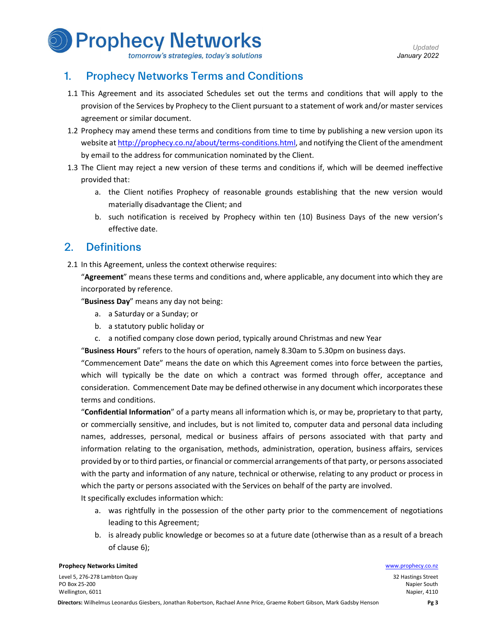

#### tomorrow's strategies, today's solutions

#### 1. Prophecy Networks Terms and Conditions

- 1.1 This Agreement and its associated Schedules set out the terms and conditions that will apply to the provision of the Services by Prophecy to the Client pursuant to a statement of work and/or master services agreement or similar document.
- 1.2 Prophecy may amend these terms and conditions from time to time by publishing a new version upon its website at http://prophecy.co.nz/about/terms-conditions.html, and notifying the Client of the amendment by email to the address for communication nominated by the Client.
- 1.3 The Client may reject a new version of these terms and conditions if, which will be deemed ineffective provided that:
	- a. the Client notifies Prophecy of reasonable grounds establishing that the new version would materially disadvantage the Client; and
	- b. such notification is received by Prophecy within ten (10) Business Days of the new version's effective date.

#### 2. Definitions

2.1 In this Agreement, unless the context otherwise requires:<br>"Agreement" means these terms and conditions and, where applicable, any document into which they are incorporated by reference.<br>"Business Day" means any day not being:

- a. a Saturday or a Sunday; or
- b. a statutory public holiday or
- c. a notified company close down period, typically around Christmas and new Year<br>"Business Hours" refers to the hours of operation, namely 8.30am to 5.30pm on business days.

"Commencement Date" means the date on which this Agreement comes into force between the parties, which will typically be the date on which a contract was formed through offer, acceptance and consideration. Commencement Date may be defined otherwise in any document which incorporates these terms and conditions.<br>"Confidential Information" of a party means all information which is, or may be, proprietary to that party,

or commercially sensitive, and includes, but is not limited to, computer data and personal data including names, addresses, personal, medical or business affairs of persons associated with that party and information relating to the organisation, methods, administration, operation, business affairs, services provided by or to third parties, or financial or commercial arrangements of that party, or persons associated with the party and information of any nature, technical or otherwise, relating to any product or process in which the party or persons associated with the Services on behalf of the party are involved.

It specifically excludes information which:

- a. was rightfully in the possession of the other party prior to the commencement of negotiations leading to this Agreement;
- b. is already public knowledge or becomes so at a future date (otherwise than as a result of a breach of clause 6);

**Prophecy Networks Limited Water School School School School School School School School School School School School School School School School School School School School School School School School School School School** 

Level 5, 276-278 Lambton Quay PO Box 25-200 Wellington, 6011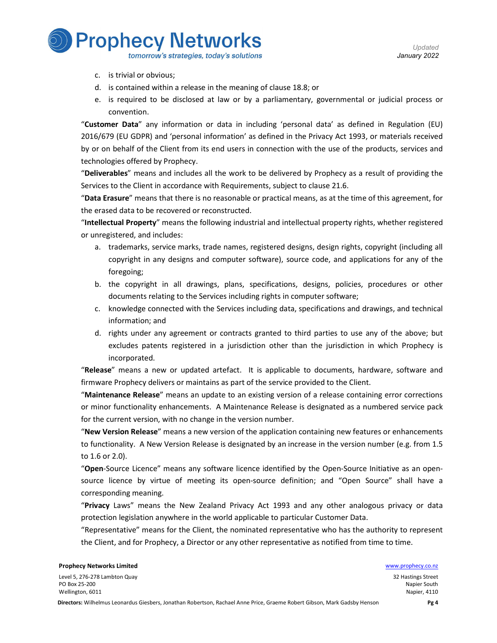**Prophecy Networks** 

tomorrow's strategies, today's solutions

- c. is trivial or obvious;
- d. is contained within a release in the meaning of clause 18.8; or
- e. is required to be disclosed at law or by a parliamentary, governmental or judicial process or

convention.<br>"Customer Data" any information or data in including 'personal data' as defined in Regulation (EU) 2016/679 (EU GDPR) and 'personal information' as defined in the Privacy Act 1993, or materials received by or on behalf of the Client from its end users in connection with the use of the products, services and technologies offered by Prophecy.<br>"Deliverables" means and includes all the work to be delivered by Prophecy as a result of providing the

Services to the Client in accordance with Requirements, subject to clause 21.6.<br>"Data Erasure" means that there is no reasonable or practical means, as at the time of this agreement, for

the erased data to be recovered or reconstructed.<br>"Intellectual Property" means the following industrial and intellectual property rights, whether registered

or unregistered, and includes:

- a. trademarks, service marks, trade names, registered designs, design rights, copyright (including all copyright in any designs and computer software), source code, and applications for any of the foregoing;
- b. the copyright in all drawings, plans, specifications, designs, policies, procedures or other documents relating to the Services including rights in computer software;
- c. knowledge connected with the Services including data, specifications and drawings, and technical information; and
- d. rights under any agreement or contracts granted to third parties to use any of the above; but excludes patents registered in a jurisdiction other than the jurisdiction in which Prophecy is

incorporated.<br>**"Release**" means a new or updated artefact. It is applicable to documents, hardware, software and firmware Prophecy delivers or maintains as part of the service provided to the Client.<br>"Maintenance Release" means an update to an existing version of a release containing error corrections

or minor functionality enhancements. A Maintenance Release is designated as a numbered service pack for the current version, with no change in the version number.<br>"New Version Release" means a new version of the application containing new features or enhancements

to functionality. A New Version Release is designated by an increase in the version number (e.g. from 1.5 to 1.6 or 2.0).<br>"**Open**-Source Licence" means any software licence identified by the Open-Source Initiative as an open-

source licence by virtue of meeting its open-source definition; and "Open Source" shall have a corresponding meaning.<br>"Privacy Laws" means the New Zealand Privacy Act 1993 and any other analogous privacy or data

protection legislation anywhere in the world applicable to particular Customer Data.

"Representative" means for the Client, the nominated representative who has the authority to represent the Client, and for Prophecy, a Director or any other representative as notified from time to time.

#### **Prophecy Networks Limited Water School School School School School School School School School School School School School School School School School School School School School School School School School School School**

Level 5, 276-278 Lambton Quay PO Box 25-200 Wellington, 6011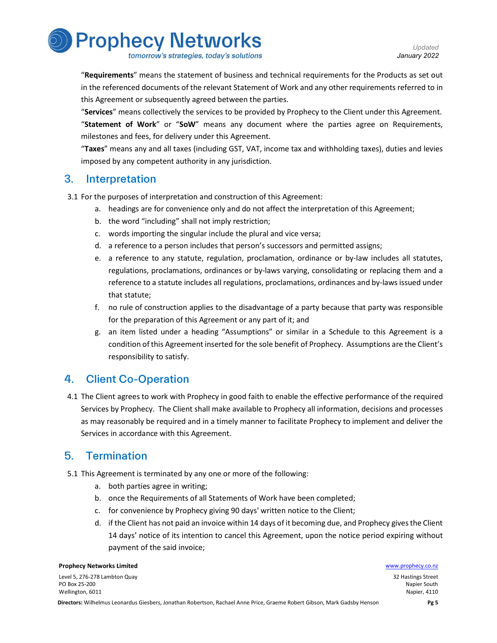

tomorrow's strategies, today's solutions

"Requirements" means the statement of business and technical requirements for the Products as set out in the referenced documents of the relevant Statement of Work and any other requirements referred to in

this Agreement or subsequently agreed between the parties.<br>"**Services**" means collectively the services to be provided by Prophecy to the Client under this Agreement.<br>"Statement of Work" or "SoW" means any document where t milestones and fees, for delivery under this Agreement.<br>"Taxes" means any and all taxes (including GST, VAT, income tax and withholding taxes), duties and levies

imposed by any competent authority in any jurisdiction.

## 3. Interpretation

3.1 For the purposes of interpretation and construction of this Agreement:

- a. headings are for convenience only and do not affect the interpretation of this Agreement;
- b. the word "including" shall not imply restriction;
- c. words importing the singular include the plural and vice versa;
- d. a reference to a person includes that person's successors and permitted assigns;
- e. a reference to any statute, regulation, proclamation, ordinance or by-law includes all statutes, regulations, proclamations, ordinances or by-laws varying, consolidating or replacing them and a reference to a statute includes all regulations, proclamations, ordinances and by-laws issued under that statute;
- f. no rule of construction applies to the disadvantage of a party because that party was responsible for the preparation of this Agreement or any part of it; and
- g. an item listed under a heading "Assumptions" or similar in a Schedule to this Agreement is a condition of this Agreement inserted for the sole benefit of Prophecy. Assumptions are the Client's responsibility to satisfy.

# 4. Client Co-Operation

4.1 The Client agrees to work with Prophecy in good faith to enable the effective performance of the required Services by Prophecy. The Client shall make available to Prophecy all information, decisions and processes as may reasonably be required and in a timely manner to facilitate Prophecy to implement and deliver the Services in accordance with this Agreement.

# 5. Termination

- 5.1 This Agreement is terminated by any one or more of the following:
	- a. both parties agree in writing;
	- b. once the Requirements of all Statements of Work have been completed;
	- c. for convenience by Prophecy giving 90 days' written notice to the Client;
	- d. if the Client has not paid an invoice within 14 days of it becoming due, and Prophecy gives the Client 14 days' notice of its intention to cancel this Agreement, upon the notice period expiring without payment of the said invoice;

#### **Prophecy Networks Limited Water School School School School School School School School School School School School School School School School School School School School School School School School School School School**

Level 5, 276-278 Lambton Quay PO Box 25-200 Wellington, 6011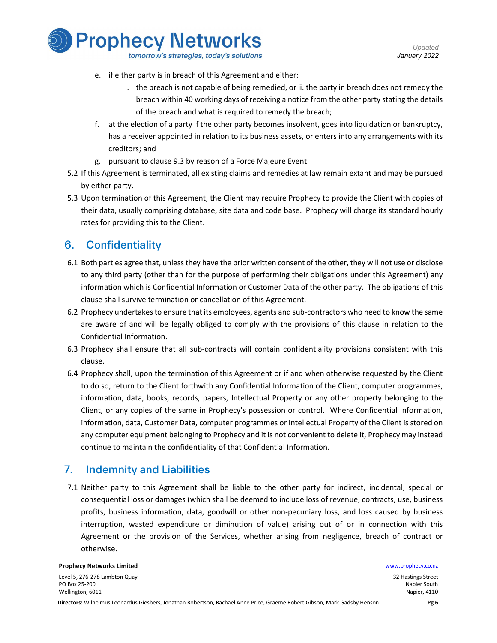

- 
- e. if either party is in breach of this Agreement and either:
	- i. the breach is not capable of being remedied, or ii. the party in breach does not remedy the breach within 40 working days of receiving a notice from the other party stating the details of the breach and what is required to remedy the breach;
- f. at the election of a party if the other party becomes insolvent, goes into liquidation or bankruptcy, has a receiver appointed in relation to its business assets, or enters into any arrangements with its creditors; and
- g. pursuant to clause 9.3 by reason of a Force Majeure Event.
- 5.2 If this Agreement is terminated, all existing claims and remedies at law remain extant and may be pursued by either party.
- 5.3 Upon termination of this Agreement, the Client may require Prophecy to provide the Client with copies of their data, usually comprising database, site data and code base. Prophecy will charge its standard hourly rates for providing this to the Client.

# 6. Confidentiality

- 6.1 Both parties agree that, unless they have the prior written consent of the other, they will not use or disclose to any third party (other than for the purpose of performing their obligations under this Agreement) any information which is Confidential Information or Customer Data of the other party. The obligations of this clause shall survive termination or cancellation of this Agreement.
- 6.2 Prophecy undertakes to ensure that its employees, agents and sub-contractors who need to know the same are aware of and will be legally obliged to comply with the provisions of this clause in relation to the Confidential Information.
- 6.3 Prophecy shall ensure that all sub-contracts will contain confidentiality provisions consistent with this clause.
- 6.4 Prophecy shall, upon the termination of this Agreement or if and when otherwise requested by the Client to do so, return to the Client forthwith any Confidential Information of the Client, computer programmes, information, data, books, records, papers, Intellectual Property or any other property belonging to the Client, or any copies of the same in Prophecy's possession or control. Where Confidential Information, information, data, Customer Data, computer programmes or Intellectual Property of the Client is stored on any computer equipment belonging to Prophecy and it is not convenient to delete it, Prophecy may instead continue to maintain the confidentiality of that Confidential Information.

# 7. Indemnity and Liabilities

7.1 Neither party to this Agreement shall be liable to the other party for indirect, incidental, special or consequential loss or damages (which shall be deemed to include loss of revenue, contracts, use, business profits, business information, data, goodwill or other non-pecuniary loss, and loss caused by business interruption, wasted expenditure or diminution of value) arising out of or in connection with this Agreement or the provision of the Services, whether arising from negligence, breach of contract or otherwise.

#### **Prophecy Networks Limited Water School School School School School School School School School School School School School School School School School School School School School School School School School School School**

Level 5, 276-278 Lambton Quay PO Box 25-200 Wellington, 6011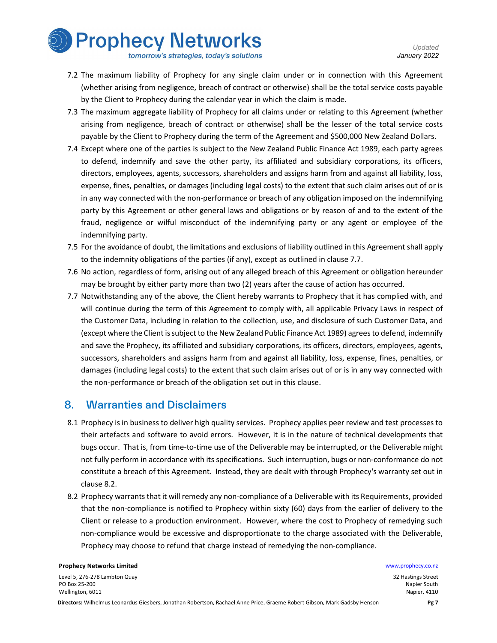

- tomorrow's strategies, today's solutions
- 7.2 The maximum liability of Prophecy for any single claim under or in connection with this Agreement (whether arising from negligence, breach of contract or otherwise) shall be the total service costs payable by the Client to Prophecy during the calendar year in which the claim is made.
- 7.3 The maximum aggregate liability of Prophecy for all claims under or relating to this Agreement (whether arising from negligence, breach of contract or otherwise) shall be the lesser of the total service costs payable by the Client to Prophecy during the term of the Agreement and \$500,000 New Zealand Dollars.
- 7.4 Except where one of the parties is subject to the New Zealand Public Finance Act 1989, each party agrees to defend, indemnify and save the other party, its affiliated and subsidiary corporations, its officers, directors, employees, agents, successors, shareholders and assigns harm from and against all liability, loss, expense, fines, penalties, or damages (including legal costs) to the extent that such claim arises out of or is in any way connected with the non-performance or breach of any obligation imposed on the indemnifying party by this Agreement or other general laws and obligations or by reason of and to the extent of the fraud, negligence or wilful misconduct of the indemnifying party or any agent or employee of the indemnifying party.
- 7.5 For the avoidance of doubt, the limitations and exclusions of liability outlined in this Agreement shall apply to the indemnity obligations of the parties (if any), except as outlined in clause 7.7.
- 7.6 No action, regardless of form, arising out of any alleged breach of this Agreement or obligation hereunder may be brought by either party more than two (2) years after the cause of action has occurred.
- 7.7 Notwithstanding any of the above, the Client hereby warrants to Prophecy that it has complied with, and will continue during the term of this Agreement to comply with, all applicable Privacy Laws in respect of the Customer Data, including in relation to the collection, use, and disclosure of such Customer Data, and (except where the Client is subject to the New Zealand Public Finance Act 1989) agrees to defend, indemnify and save the Prophecy, its affiliated and subsidiary corporations, its officers, directors, employees, agents, successors, shareholders and assigns harm from and against all liability, loss, expense, fines, penalties, or damages (including legal costs) to the extent that such claim arises out of or is in any way connected with the non-performance or breach of the obligation set out in this clause.

#### 8. Warranties and Disclaimers

- 8.1 Prophecy is in business to deliver high quality services. Prophecy applies peer review and test processes to their artefacts and software to avoid errors. However, it is in the nature of technical developments that bugs occur. That is, from time-to-time use of the Deliverable may be interrupted, or the Deliverable might not fully perform in accordance with its specifications. Such interruption, bugs or non-conformance do not constitute a breach of this Agreement. Instead, they are dealt with through Prophecy's warranty set out in clause 8.2.
- 8.2 Prophecy warrants that it will remedy any non-compliance of a Deliverable with its Requirements, provided that the non-compliance is notified to Prophecy within sixty (60) days from the earlier of delivery to the Client or release to a production environment. However, where the cost to Prophecy of remedying such non-compliance would be excessive and disproportionate to the charge associated with the Deliverable, Prophecy may choose to refund that charge instead of remedying the non-compliance.

#### **Prophecy Networks Limited Water School School School School School School School School School School School School School School School School School School School School School School School School School School School**

Level 5, 276-278 Lambton Quay PO Box 25-200 Wellington, 6011

Napier, 4110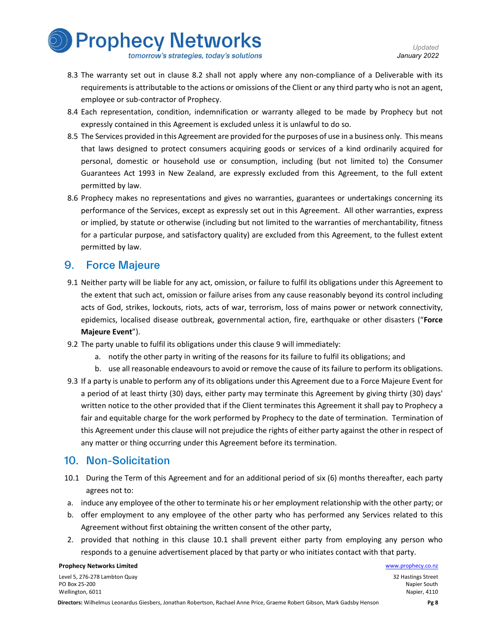

- 8.3 The warranty set out in clause 8.2 shall not apply where any non-compliance of a Deliverable with its requirements is attributable to the actions or omissions of the Client or any third party who is not an agent, employee or sub-contractor of Prophecy.
- 8.4 Each representation, condition, indemnification or warranty alleged to be made by Prophecy but not expressly contained in this Agreement is excluded unless it is unlawful to do so.
- 8.5 The Services provided in this Agreement are provided for the purposes of use in a business only. This means that laws designed to protect consumers acquiring goods or services of a kind ordinarily acquired for personal, domestic or household use or consumption, including (but not limited to) the Consumer Guarantees Act 1993 in New Zealand, are expressly excluded from this Agreement, to the full extent permitted by law.
- 8.6 Prophecy makes no representations and gives no warranties, guarantees or undertakings concerning its performance of the Services, except as expressly set out in this Agreement. All other warranties, express or implied, by statute or otherwise (including but not limited to the warranties of merchantability, fitness for a particular purpose, and satisfactory quality) are excluded from this Agreement, to the fullest extent permitted by law.

#### 9. Force Majeure

- 9.1 Neither party will be liable for any act, omission, or failure to fulfil its obligations under this Agreement to the extent that such act, omission or failure arises from any cause reasonably beyond its control including acts of God, strikes, lockouts, riots, acts of war, terrorism, loss of mains power or network connectivity, epidemics, localised disease outbreak, governmental action, fire, earthquake or other disasters ("Force Majeure Event").
- 9.2 The party unable to fulfil its obligations under this clause 9 will immediately:
	- a. notify the other party in writing of the reasons for its failure to fulfil its obligations; and
	- b. use all reasonable endeavours to avoid or remove the cause of its failure to perform its obligations.
- 9.3 If a party is unable to perform any of its obligations under this Agreement due to a Force Majeure Event for a period of at least thirty (30) days, either party may terminate this Agreement by giving thirty (30) days' written notice to the other provided that if the Client terminates this Agreement it shall pay to Prophecy a fair and equitable charge for the work performed by Prophecy to the date of termination. Termination of this Agreement under this clause will not prejudice the rights of either party against the other in respect of any matter or thing occurring under this Agreement before its termination.

#### 10. Non-Solicitation

- 10.1 During the Term of this Agreement and for an additional period of six (6) months thereafter, each party agrees not to:
- a. induce any employee of the other to terminate his or her employment relationship with the other party; or
- b. offer employment to any employee of the other party who has performed any Services related to this Agreement without first obtaining the written consent of the other party,
- 2. provided that nothing in this clause 10.1 shall prevent either party from employing any person who responds to a genuine advertisement placed by that party or who initiates contact with that party.

#### **Prophecy Networks Limited Water School School School School School School School School School School School School School School School School School School School School School School School School School School School**

Level 5, 276-278 Lambton Quay PO Box 25-200 Wellington, 6011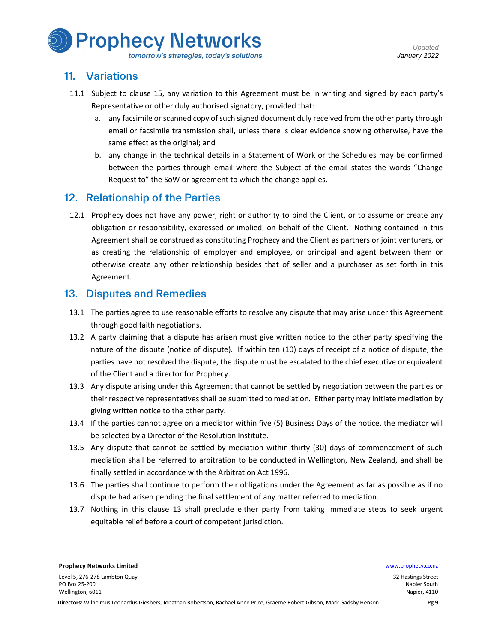

#### 11. Variations

- 11.1 Subject to clause 15, any variation to this Agreement must be in writing and signed by each party's Representative or other duly authorised signatory, provided that:
	- a. any facsimile or scanned copy of such signed document duly received from the other party through email or facsimile transmission shall, unless there is clear evidence showing otherwise, have the same effect as the original; and
	- b. any change in the technical details in a Statement of Work or the Schedules may be confirmed between the parties through email where the Subject of the email states the words "Change Request to" the SoW or agreement to which the change applies.

#### 12. Relationship of the Parties

12.1 Prophecy does not have any power, right or authority to bind the Client, or to assume or create any obligation or responsibility, expressed or implied, on behalf of the Client. Nothing contained in this Agreement shall be construed as constituting Prophecy and the Client as partners or joint venturers, or as creating the relationship of employer and employee, or principal and agent between them or otherwise create any other relationship besides that of seller and a purchaser as set forth in this Agreement.

#### 13. Disputes and Remedies

- 13.1 The parties agree to use reasonable efforts to resolve any dispute that may arise under this Agreement through good faith negotiations.
- 13.2 A party claiming that a dispute has arisen must give written notice to the other party specifying the nature of the dispute (notice of dispute). If within ten (10) days of receipt of a notice of dispute, the parties have not resolved the dispute, the dispute must be escalated to the chief executive or equivalent of the Client and a director for Prophecy.
- 13.3 Any dispute arising under this Agreement that cannot be settled by negotiation between the parties or their respective representatives shall be submitted to mediation. Either party may initiate mediation by giving written notice to the other party.
- 13.4 If the parties cannot agree on a mediator within five (5) Business Days of the notice, the mediator will be selected by a Director of the Resolution Institute.
- 13.5 Any dispute that cannot be settled by mediation within thirty (30) days of commencement of such mediation shall be referred to arbitration to be conducted in Wellington, New Zealand, and shall be finally settled in accordance with the Arbitration Act 1996.
- 13.6 The parties shall continue to perform their obligations under the Agreement as far as possible as if no dispute had arisen pending the final settlement of any matter referred to mediation.
- 13.7 Nothing in this clause 13 shall preclude either party from taking immediate steps to seek urgent equitable relief before a court of competent jurisdiction.

**Prophecy Networks Limited Water School School School School School School School School School School School School School School School School School School School School School School School School School School School** Level 5, 276-278 Lambton Quay

PO Box 25-200 Wellington, 6011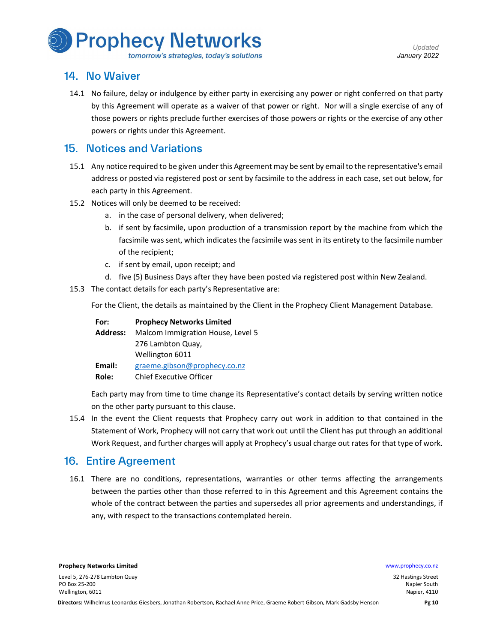

#### tomorrow's strategies, today's solutions

#### 14. No Waiver

14.1 No failure, delay or indulgence by either party in exercising any power or right conferred on that party by this Agreement will operate as a waiver of that power or right. Nor will a single exercise of any of those powers or rights preclude further exercises of those powers or rights or the exercise of any other powers or rights under this Agreement.

#### 15. Notices and Variations

- 15.1 Any notice required to be given under this Agreement may be sent by email to the representative's email address or posted via registered post or sent by facsimile to the address in each case, set out below, for each party in this Agreement.
- 15.2 Notices will only be deemed to be received:
	- a. in the case of personal delivery, when delivered;
	- b. if sent by facsimile, upon production of a transmission report by the machine from which the facsimile was sent, which indicates the facsimile was sent in its entirety to the facsimile number of the recipient;
	- c. if sent by email, upon receipt; and
	- d. five (5) Business Days after they have been posted via registered post within New Zealand.
- 15.3 The contact details for each party's Representative are:

For the Client, the details as maintained by the Client in the Prophecy Client Management Database.

| For:            | <b>Prophecy Networks Limited</b>  |
|-----------------|-----------------------------------|
| <b>Address:</b> | Malcom Immigration House, Level 5 |
|                 | 276 Lambton Quay,                 |
|                 | Wellington 6011                   |
| Email:          | graeme.gibson@prophecy.co.nz      |
| Role:           | Chief Executive Officer           |

Each party may from time to time change its Representative's contact details by serving written notice on the other party pursuant to this clause.

15.4 In the event the Client requests that Prophecy carry out work in addition to that contained in the Statement of Work, Prophecy will not carry that work out until the Client has put through an additional Work Request, and further charges will apply at Prophecy's usual charge out rates for that type of work.

#### 16. Entire Agreement

16.1 There are no conditions, representations, warranties or other terms affecting the arrangements between the parties other than those referred to in this Agreement and this Agreement contains the whole of the contract between the parties and supersedes all prior agreements and understandings, if any, with respect to the transactions contemplated herein.

Level 5, 276-278 Lambton Quay PO Box 25-200 Wellington, 6011

**Prophecy Networks Limited Water School School School School School School School School School School School School School School School School School School School School School School School School School School School**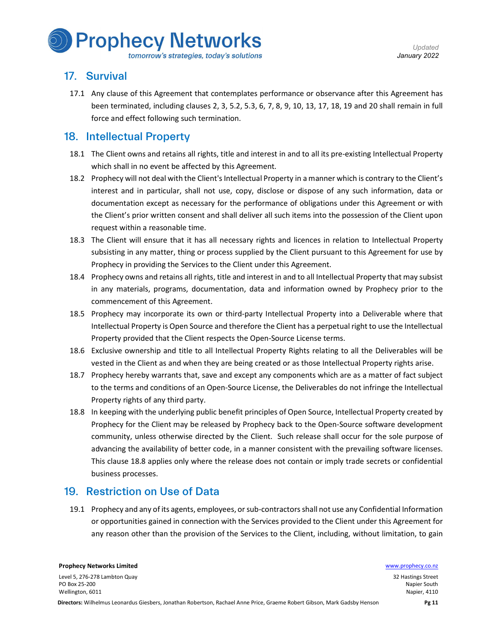

#### tomorrow's strategies, today's solutions

# 17. Survival

17.1 Any clause of this Agreement that contemplates performance or observance after this Agreement has been terminated, including clauses 2, 3, 5.2, 5.3, 6, 7, 8, 9, 10, 13, 17, 18, 19 and 20 shall remain in full force and effect following such termination.

#### 18. Intellectual Property

- 18.1 The Client owns and retains all rights, title and interest in and to all its pre-existing Intellectual Property which shall in no event be affected by this Agreement.
- 18.2 Prophecy will not deal with the Client's Intellectual Property in a manner which is contrary to the Client's interest and in particular, shall not use, copy, disclose or dispose of any such information, data or documentation except as necessary for the performance of obligations under this Agreement or with the Client's prior written consent and shall deliver all such items into the possession of the Client upon request within a reasonable time.
- 18.3 The Client will ensure that it has all necessary rights and licences in relation to Intellectual Property subsisting in any matter, thing or process supplied by the Client pursuant to this Agreement for use by Prophecy in providing the Services to the Client under this Agreement.
- 18.4 Prophecy owns and retains all rights, title and interest in and to all Intellectual Property that may subsist in any materials, programs, documentation, data and information owned by Prophecy prior to the commencement of this Agreement.
- 18.5 Prophecy may incorporate its own or third-party Intellectual Property into a Deliverable where that Intellectual Property is Open Source and therefore the Client has a perpetual right to use the Intellectual Property provided that the Client respects the Open-Source License terms.
- 18.6 Exclusive ownership and title to all Intellectual Property Rights relating to all the Deliverables will be vested in the Client as and when they are being created or as those Intellectual Property rights arise.
- 18.7 Prophecy hereby warrants that, save and except any components which are as a matter of fact subject to the terms and conditions of an Open-Source License, the Deliverables do not infringe the Intellectual Property rights of any third party.
- 18.8 In keeping with the underlying public benefit principles of Open Source, Intellectual Property created by Prophecy for the Client may be released by Prophecy back to the Open-Source software development community, unless otherwise directed by the Client. Such release shall occur for the sole purpose of advancing the availability of better code, in a manner consistent with the prevailing software licenses. This clause 18.8 applies only where the release does not contain or imply trade secrets or confidential business processes.

# 19. Restriction on Use of Data

19.1 Prophecy and any of its agents, employees, or sub-contractors shall not use any Confidential Information or opportunities gained in connection with the Services provided to the Client under this Agreement for any reason other than the provision of the Services to the Client, including, without limitation, to gain

Wellington, 6011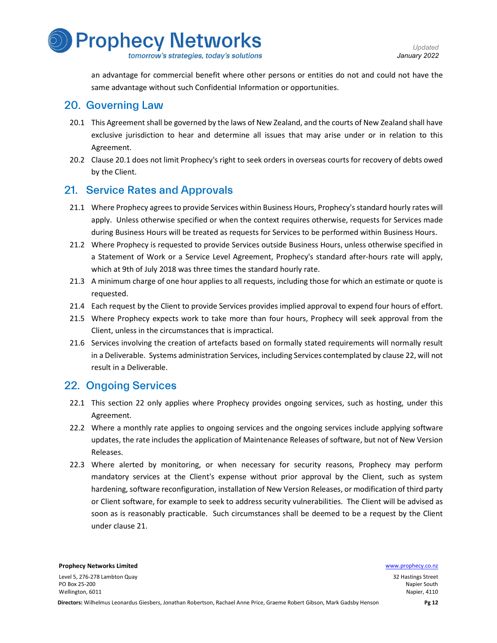

an advantage for commercial benefit where other persons or entities do not and could not have the same advantage without such Confidential Information or opportunities.

#### 20. Governing Law

- 20.1 This Agreement shall be governed by the laws of New Zealand, and the courts of New Zealand shall have exclusive jurisdiction to hear and determine all issues that may arise under or in relation to this Agreement.
- 20.2 Clause 20.1 does not limit Prophecy's right to seek orders in overseas courts for recovery of debts owed by the Client.

## 21. Service Rates and Approvals

- 21.1 Where Prophecy agrees to provide Services within Business Hours, Prophecy's standard hourly rates will apply. Unless otherwise specified or when the context requires otherwise, requests for Services made during Business Hours will be treated as requests for Services to be performed within Business Hours.
- 21.2 Where Prophecy is requested to provide Services outside Business Hours, unless otherwise specified in a Statement of Work or a Service Level Agreement, Prophecy's standard after-hours rate will apply, which at 9th of July 2018 was three times the standard hourly rate.
- 21.3 A minimum charge of one hour applies to all requests, including those for which an estimate or quote is requested.
- 21.4 Each request by the Client to provide Services provides implied approval to expend four hours of effort.
- 21.5 Where Prophecy expects work to take more than four hours, Prophecy will seek approval from the Client, unless in the circumstances that is impractical.
- 21.6 Services involving the creation of artefacts based on formally stated requirements will normally result in a Deliverable. Systems administration Services, including Services contemplated by clause 22, will not result in a Deliverable.

#### 22. Ongoing Services

- 22.1 This section 22 only applies where Prophecy provides ongoing services, such as hosting, under this Agreement.
- 22.2 Where a monthly rate applies to ongoing services and the ongoing services include applying software updates, the rate includes the application of Maintenance Releases of software, but not of New Version Releases.
- 22.3 Where alerted by monitoring, or when necessary for security reasons, Prophecy may perform mandatory services at the Client's expense without prior approval by the Client, such as system hardening, software reconfiguration, installation of New Version Releases, or modification of third party or Client software, for example to seek to address security vulnerabilities. The Client will be advised as soon as is reasonably practicable. Such circumstances shall be deemed to be a request by the Client under clause 21.

<sup>32</sup> Hastings Street Napier South Napier, 4110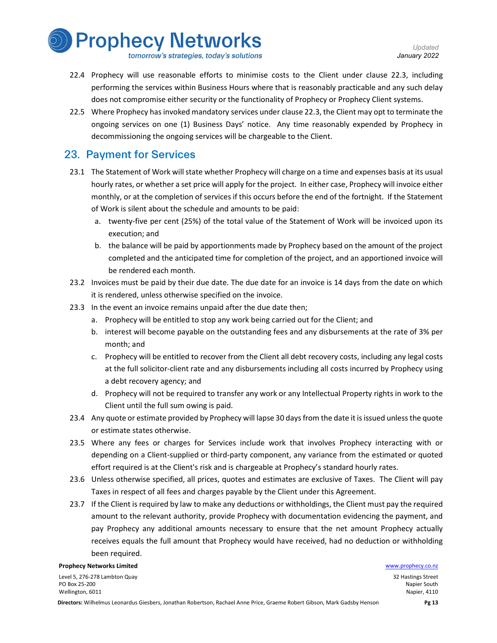

- tomorrow's strategies, today's solutions
- 22.4 Prophecy will use reasonable efforts to minimise costs to the Client under clause 22.3, including performing the services within Business Hours where that is reasonably practicable and any such delay does not compromise either security or the functionality of Prophecy or Prophecy Client systems.
- 22.5 Where Prophecy has invoked mandatory services under clause 22.3, the Client may opt to terminate the ongoing services on one (1) Business Days' notice. Any time reasonably expended by Prophecy in decommissioning the ongoing services will be chargeable to the Client.

#### 23. Payment for Services

- 23.1 The Statement of Work will state whether Prophecy will charge on a time and expenses basis at its usual hourly rates, or whether a set price will apply for the project. In either case, Prophecy will invoice either monthly, or at the completion of services if this occurs before the end of the fortnight. If the Statement of Work is silent about the schedule and amounts to be paid:
	- a. twenty-five per cent (25%) of the total value of the Statement of Work will be invoiced upon its execution; and
	- b. the balance will be paid by apportionments made by Prophecy based on the amount of the project completed and the anticipated time for completion of the project, and an apportioned invoice will be rendered each month.
- 23.2 Invoices must be paid by their due date. The due date for an invoice is 14 days from the date on which it is rendered, unless otherwise specified on the invoice.
- 23.3 In the event an invoice remains unpaid after the due date then;
	- a. Prophecy will be entitled to stop any work being carried out for the Client; and
	- b. interest will become payable on the outstanding fees and any disbursements at the rate of 3% per month; and
	- c. Prophecy will be entitled to recover from the Client all debt recovery costs, including any legal costs at the full solicitor-client rate and any disbursements including all costs incurred by Prophecy using a debt recovery agency; and
	- d. Prophecy will not be required to transfer any work or any Intellectual Property rights in work to the Client until the full sum owing is paid.
- 23.4 Any quote or estimate provided by Prophecy will lapse 30 days from the date it is issued unless the quote or estimate states otherwise.
- 23.5 Where any fees or charges for Services include work that involves Prophecy interacting with or depending on a Client-supplied or third-party component, any variance from the estimated or quoted effort required is at the Client's risk and is chargeable at Prophecy's standard hourly rates.
- 23.6 Unless otherwise specified, all prices, quotes and estimates are exclusive of Taxes. The Client will pay Taxes in respect of all fees and charges payable by the Client under this Agreement.
- 23.7 If the Client is required by law to make any deductions or withholdings, the Client must pay the required amount to the relevant authority, provide Prophecy with documentation evidencing the payment, and pay Prophecy any additional amounts necessary to ensure that the net amount Prophecy actually receives equals the full amount that Prophecy would have received, had no deduction or withholding been required.

#### **Prophecy Networks Limited Water School School School School School School School School School School School School School School School School School School School School School School School School School School School**

Level 5, 276-278 Lambton Quay PO Box 25-200 Wellington, 6011

<sup>32</sup> Hastings Street Napier South Napier, 4110